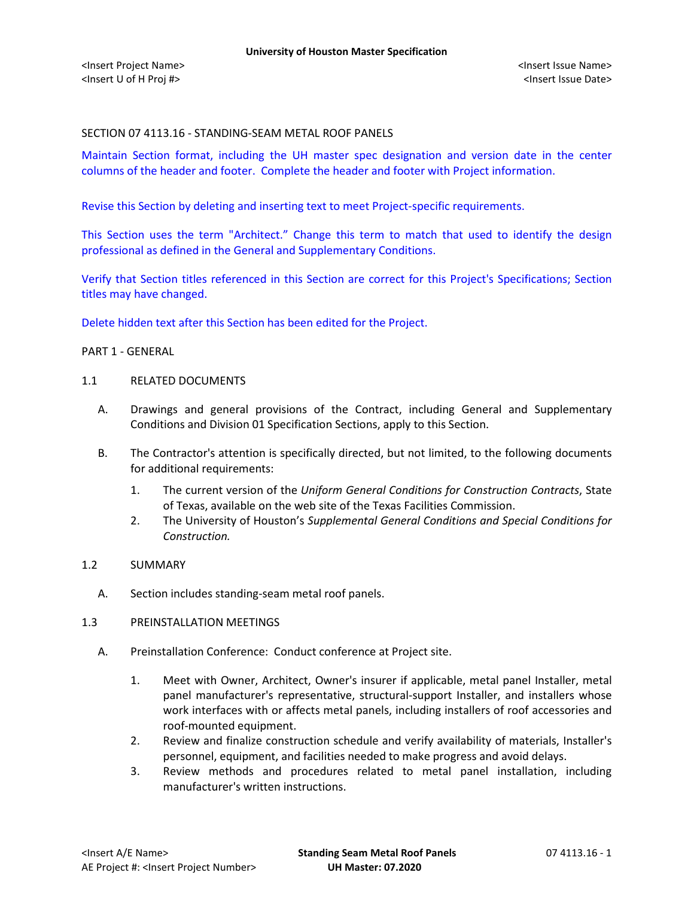### SECTION 07 4113.16 - STANDING-SEAM METAL ROOF PANELS

Maintain Section format, including the UH master spec designation and version date in the center columns of the header and footer. Complete the header and footer with Project information.

Revise this Section by deleting and inserting text to meet Project-specific requirements.

This Section uses the term "Architect." Change this term to match that used to identify the design professional as defined in the General and Supplementary Conditions.

Verify that Section titles referenced in this Section are correct for this Project's Specifications; Section titles may have changed.

Delete hidden text after this Section has been edited for the Project.

#### PART 1 - GENERAL

#### 1.1 RELATED DOCUMENTS

- A. Drawings and general provisions of the Contract, including General and Supplementary Conditions and Division 01 Specification Sections, apply to this Section.
- B. The Contractor's attention is specifically directed, but not limited, to the following documents for additional requirements:
	- 1. The current version of the *Uniform General Conditions for Construction Contracts*, State of Texas, available on the web site of the Texas Facilities Commission.
	- 2. The University of Houston's *Supplemental General Conditions and Special Conditions for Construction.*

### 1.2 SUMMARY

A. Section includes standing-seam metal roof panels.

## 1.3 PREINSTALLATION MEETINGS

- A. Preinstallation Conference: Conduct conference at Project site.
	- 1. Meet with Owner, Architect, Owner's insurer if applicable, metal panel Installer, metal panel manufacturer's representative, structural-support Installer, and installers whose work interfaces with or affects metal panels, including installers of roof accessories and roof-mounted equipment.
	- 2. Review and finalize construction schedule and verify availability of materials, Installer's personnel, equipment, and facilities needed to make progress and avoid delays.
	- 3. Review methods and procedures related to metal panel installation, including manufacturer's written instructions.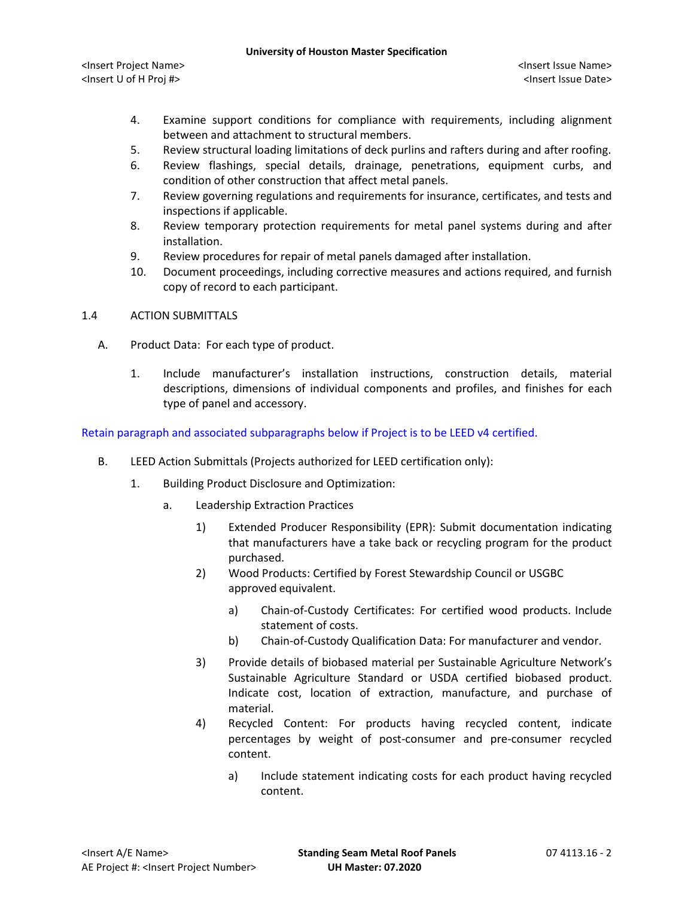- 4. Examine support conditions for compliance with requirements, including alignment between and attachment to structural members.
- 5. Review structural loading limitations of deck purlins and rafters during and after roofing.
- 6. Review flashings, special details, drainage, penetrations, equipment curbs, and condition of other construction that affect metal panels.
- 7. Review governing regulations and requirements for insurance, certificates, and tests and inspections if applicable.
- 8. Review temporary protection requirements for metal panel systems during and after installation.
- 9. Review procedures for repair of metal panels damaged after installation.
- 10. Document proceedings, including corrective measures and actions required, and furnish copy of record to each participant.

## 1.4 ACTION SUBMITTALS

- A. Product Data: For each type of product.
	- 1. Include manufacturer's installation instructions, construction details, material descriptions, dimensions of individual components and profiles, and finishes for each type of panel and accessory.

Retain paragraph and associated subparagraphs below if Project is to be LEED v4 certified.

- B. LEED Action Submittals (Projects authorized for LEED certification only):
	- 1. Building Product Disclosure and Optimization:
		- a. Leadership Extraction Practices
			- 1) Extended Producer Responsibility (EPR): Submit documentation indicating that manufacturers have a take back or recycling program for the product purchased.
			- 2) Wood Products: Certified by Forest Stewardship Council or USGBC approved equivalent.
				- a) [Chain-of-Custody Certificates:](http://www.arcomnet.com/sustainable_design.aspx?topic=146) For certified wood products. Include statement of costs.
				- b) [Chain-of-Custody Qualification Data:](http://www.arcomnet.com/sustainable_design.aspx?topic=148) For manufacturer and vendor.
			- 3) Provide details of biobased material per Sustainable Agriculture Network's Sustainable Agriculture Standard or USDA certified biobased product. Indicate cost, location of extraction, manufacture, and purchase of material.
			- 4) Recycled Content: For products having recycled content, indicate percentages by weight of post-consumer and pre-consumer recycled content.
				- a) Include statement indicating costs for each product having recycled content.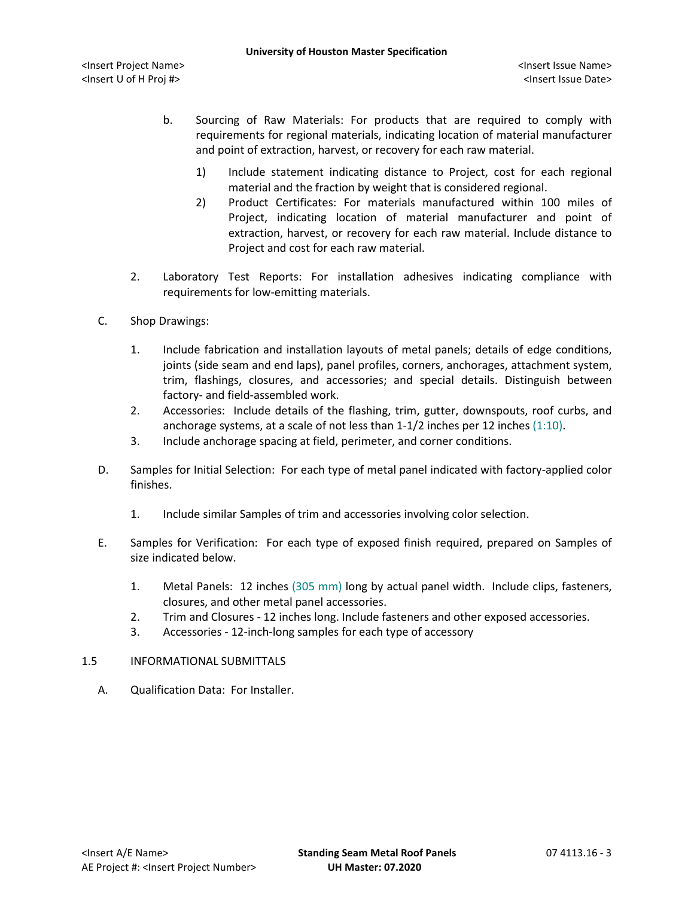- b. Sourcing of Raw Materials: For products that are required to comply with requirements for regional materials, indicating location of material manufacturer and point of extraction, harvest, or recovery for each raw material.
	- 1) Include statement indicating distance to Project, cost for each regional material and the fraction by weight that is considered regional.
	- 2) Product Certificates: For materials manufactured within 100 miles of Project, indicating location of material manufacturer and point of extraction, harvest, or recovery for each raw material. Include distance to Project and cost for each raw material.
- 2. Laboratory Test Reports: For installation adhesives indicating compliance with requirements for low-emitting materials.
- C. Shop Drawings:
	- 1. Include fabrication and installation layouts of metal panels; details of edge conditions, joints (side seam and end laps), panel profiles, corners, anchorages, attachment system, trim, flashings, closures, and accessories; and special details. Distinguish between factory- and field-assembled work.
	- 2. Accessories: Include details of the flashing, trim, gutter, downspouts, roof curbs, and anchorage systems, at a scale of not less than 1-1/2 inches per 12 inches (1:10).
	- 3. Include anchorage spacing at field, perimeter, and corner conditions.
- D. Samples for Initial Selection: For each type of metal panel indicated with factory-applied color finishes.
	- 1. Include similar Samples of trim and accessories involving color selection.
- E. Samples for Verification: For each type of exposed finish required, prepared on Samples of size indicated below.
	- 1. Metal Panels: 12 inches (305 mm) long by actual panel width. Include clips, fasteners, closures, and other metal panel accessories.
	- 2. Trim and Closures 12 inches long. Include fasteners and other exposed accessories.
	- 3. Accessories 12-inch-long samples for each type of accessory
- 1.5 INFORMATIONAL SUBMITTALS
	- A. Qualification Data: For Installer.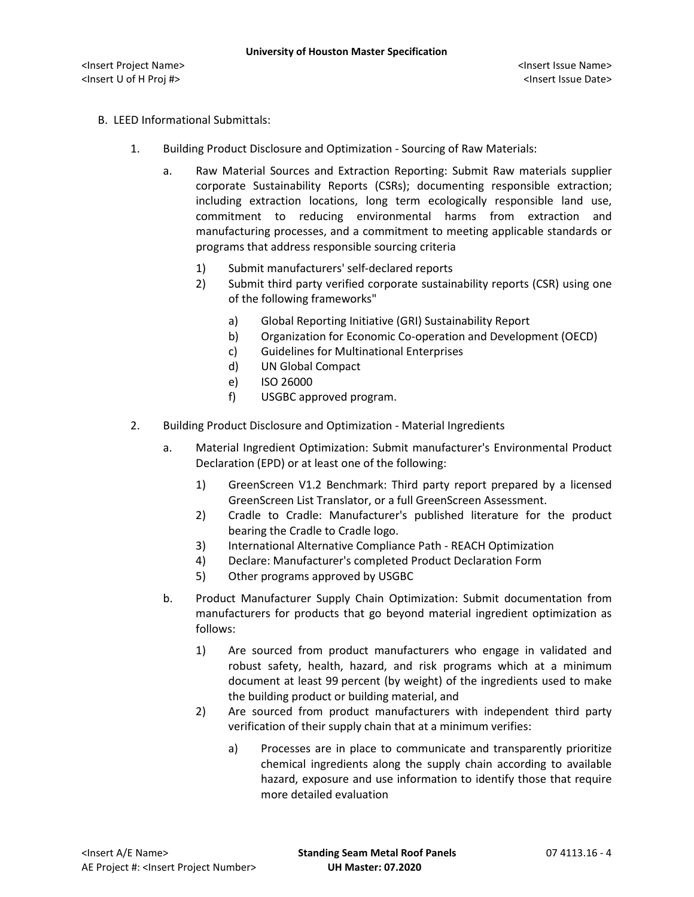- B. LEED Informational Submittals:
	- 1. Building Product Disclosure and Optimization Sourcing of Raw Materials:
		- a. Raw Material Sources and Extraction Reporting: Submit Raw materials supplier corporate Sustainability Reports (CSRs); documenting responsible extraction; including extraction locations, long term ecologically responsible land use, commitment to reducing environmental harms from extraction and manufacturing processes, and a commitment to meeting applicable standards or programs that address responsible sourcing criteria
			- 1) Submit manufacturers' self-declared reports
			- 2) Submit third party verified corporate sustainability reports (CSR) using one of the following frameworks"
				- a) Global Reporting Initiative (GRI) Sustainability Report
				- b) Organization for Economic Co-operation and Development (OECD)
				- c) Guidelines for Multinational Enterprises
				- d) UN Global Compact
				- e) ISO 26000
				- f) USGBC approved program.
	- 2. Building Product Disclosure and Optimization Material Ingredients
		- a. Material Ingredient Optimization: Submit manufacturer's Environmental Product Declaration (EPD) or at least one of the following:
			- 1) GreenScreen V1.2 Benchmark: Third party report prepared by a licensed GreenScreen List Translator, or a full GreenScreen Assessment.
			- 2) Cradle to Cradle: Manufacturer's published literature for the product bearing the Cradle to Cradle logo.
			- 3) International Alternative Compliance Path REACH Optimization
			- 4) Declare: Manufacturer's completed Product Declaration Form
			- 5) Other programs approved by USGBC
		- b. Product Manufacturer Supply Chain Optimization: Submit documentation from manufacturers for products that go beyond material ingredient optimization as follows:
			- 1) Are sourced from product manufacturers who engage in validated and robust safety, health, hazard, and risk programs which at a minimum document at least 99 percent (by weight) of the ingredients used to make the building product or building material, and
			- 2) Are sourced from product manufacturers with independent third party verification of their supply chain that at a minimum verifies:
				- a) Processes are in place to communicate and transparently prioritize chemical ingredients along the supply chain according to available hazard, exposure and use information to identify those that require more detailed evaluation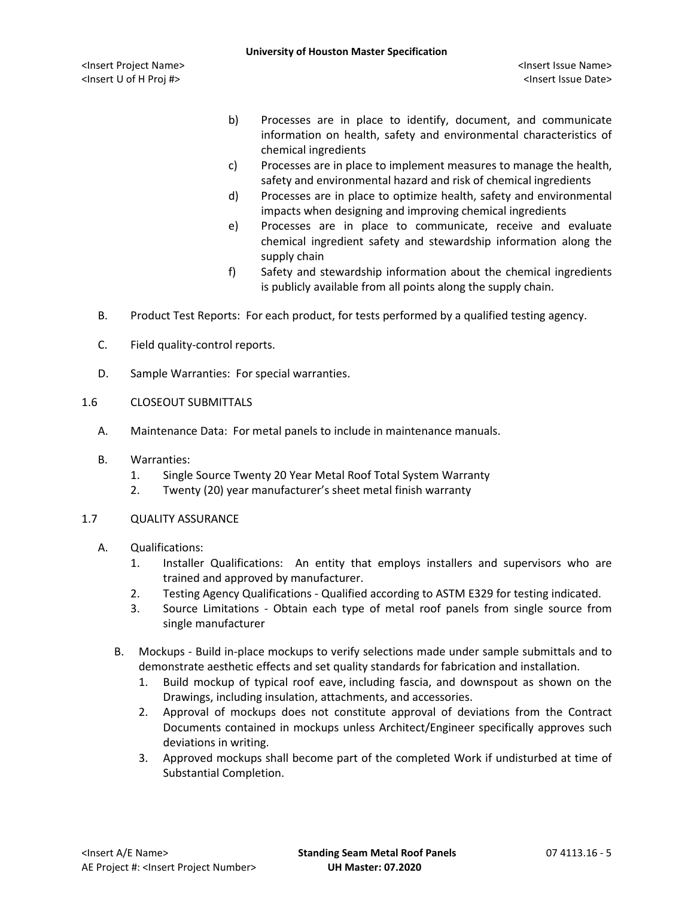- b) Processes are in place to identify, document, and communicate information on health, safety and environmental characteristics of chemical ingredients
- c) Processes are in place to implement measures to manage the health, safety and environmental hazard and risk of chemical ingredients
- d) Processes are in place to optimize health, safety and environmental impacts when designing and improving chemical ingredients
- e) Processes are in place to communicate, receive and evaluate chemical ingredient safety and stewardship information along the supply chain
- f) Safety and stewardship information about the chemical ingredients is publicly available from all points along the supply chain.
- B. Product Test Reports: For each product, for tests performed by a qualified testing agency.
- C. Field quality-control reports.
- D. Sample Warranties: For special warranties.
- 1.6 CLOSEOUT SUBMITTALS
	- A. Maintenance Data: For metal panels to include in maintenance manuals.
	- B. Warranties:
		- 1. Single Source Twenty 20 Year Metal Roof Total System Warranty
		- 2. Twenty (20) year manufacturer's sheet metal finish warranty

### 1.7 QUALITY ASSURANCE

- A. Qualifications:
	- 1. Installer Qualifications: An entity that employs installers and supervisors who are trained and approved by manufacturer.
	- 2. Testing Agency Qualifications Qualified according to ASTM E329 for testing indicated.
	- 3. Source Limitations Obtain each type of metal roof panels from single source from single manufacturer
	- B. Mockups Build in-place mockups to verify selections made under sample submittals and to demonstrate aesthetic effects and set quality standards for fabrication and installation.
		- 1. Build mockup of typical roof eave, including fascia, and downspout as shown on the Drawings, including insulation, attachments, and accessories.
		- 2. Approval of mockups does not constitute approval of deviations from the Contract Documents contained in mockups unless Architect/Engineer specifically approves such deviations in writing.
		- 3. Approved mockups shall become part of the completed Work if undisturbed at time of Substantial Completion.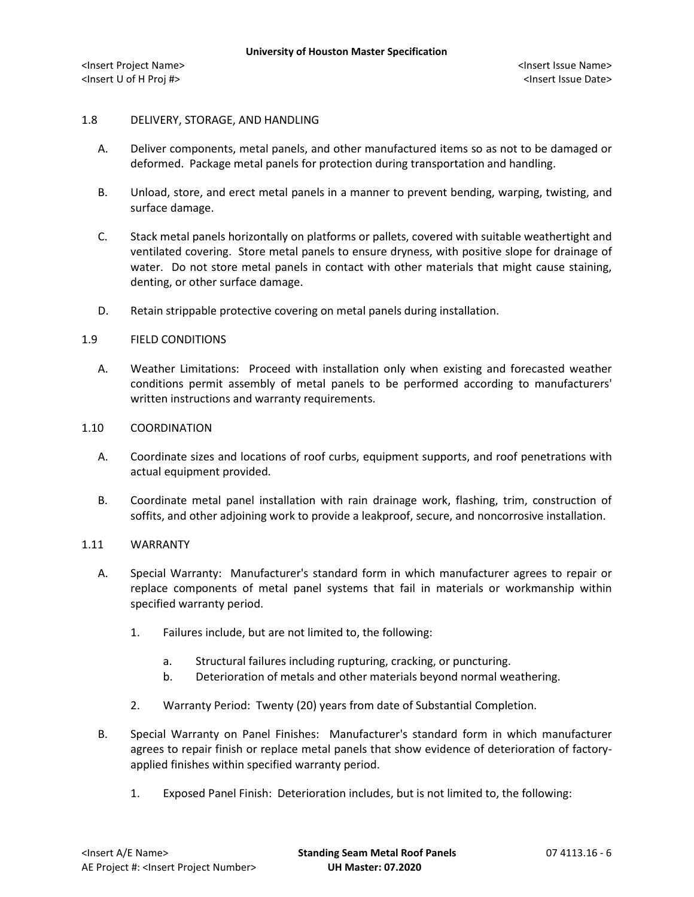### 1.8 DELIVERY, STORAGE, AND HANDLING

- A. Deliver components, metal panels, and other manufactured items so as not to be damaged or deformed. Package metal panels for protection during transportation and handling.
- B. Unload, store, and erect metal panels in a manner to prevent bending, warping, twisting, and surface damage.
- C. Stack metal panels horizontally on platforms or pallets, covered with suitable weathertight and ventilated covering. Store metal panels to ensure dryness, with positive slope for drainage of water. Do not store metal panels in contact with other materials that might cause staining, denting, or other surface damage.
- D. Retain strippable protective covering on metal panels during installation.

## 1.9 FIELD CONDITIONS

A. Weather Limitations: Proceed with installation only when existing and forecasted weather conditions permit assembly of metal panels to be performed according to manufacturers' written instructions and warranty requirements.

### 1.10 COORDINATION

- A. Coordinate sizes and locations of roof curbs, equipment supports, and roof penetrations with actual equipment provided.
- B. Coordinate metal panel installation with rain drainage work, flashing, trim, construction of soffits, and other adjoining work to provide a leakproof, secure, and noncorrosive installation.

# 1.11 WARRANTY

- A. Special Warranty: Manufacturer's standard form in which manufacturer agrees to repair or replace components of metal panel systems that fail in materials or workmanship within specified warranty period.
	- 1. Failures include, but are not limited to, the following:
		- a. Structural failures including rupturing, cracking, or puncturing.
		- b. Deterioration of metals and other materials beyond normal weathering.
	- 2. Warranty Period: Twenty (20) years from date of Substantial Completion.
- B. Special Warranty on Panel Finishes: Manufacturer's standard form in which manufacturer agrees to repair finish or replace metal panels that show evidence of deterioration of factoryapplied finishes within specified warranty period.
	- 1. Exposed Panel Finish: Deterioration includes, but is not limited to, the following: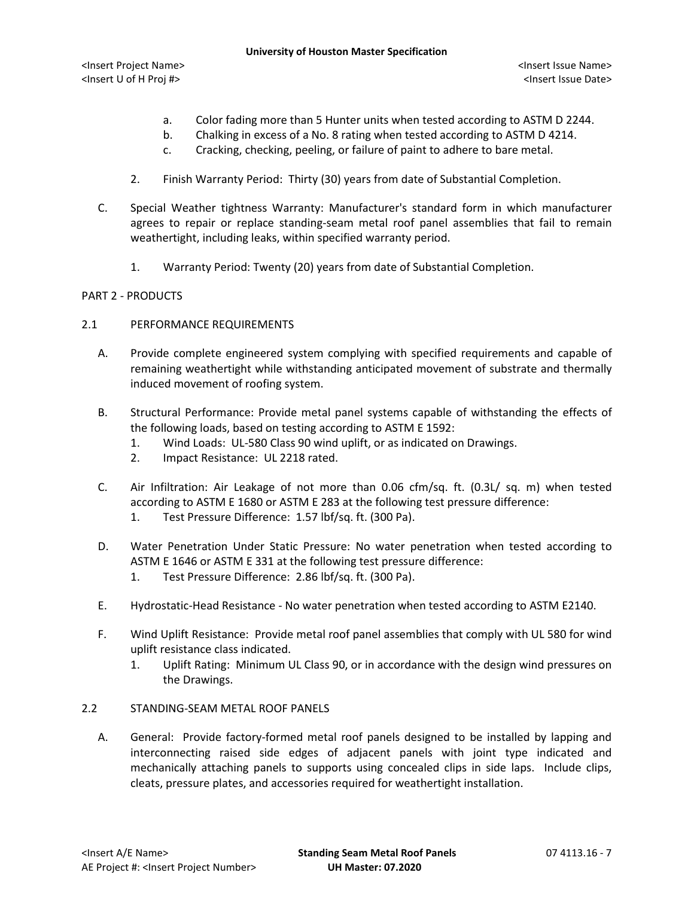- a. Color fading more than 5 Hunter units when tested according to ASTM D 2244.
- b. Chalking in excess of a No. 8 rating when tested according to ASTM D 4214.
- c. Cracking, checking, peeling, or failure of paint to adhere to bare metal.
- 2. Finish Warranty Period: Thirty (30) years from date of Substantial Completion.
- C. Special Weather tightness Warranty: Manufacturer's standard form in which manufacturer agrees to repair or replace standing-seam metal roof panel assemblies that fail to remain weathertight, including leaks, within specified warranty period.
	- 1. Warranty Period: Twenty (20) years from date of Substantial Completion.

## PART 2 - PRODUCTS

- 2.1 PERFORMANCE REQUIREMENTS
	- A. Provide complete engineered system complying with specified requirements and capable of remaining weathertight while withstanding anticipated movement of substrate and thermally induced movement of roofing system.
	- B. Structural Performance: Provide metal panel systems capable of withstanding the effects of the following loads, based on testing according to ASTM E 1592:
		- 1. Wind Loads: UL-580 Class 90 wind uplift, or as indicated on Drawings.
		- 2. Impact Resistance: UL 2218 rated.
	- C. Air Infiltration: Air Leakage of not more than 0.06 cfm/sq. ft. (0.3L/ sq. m) when tested according to ASTM E 1680 or ASTM E 283 at the following test pressure difference:
		- 1. Test Pressure Difference: 1.57 lbf/sq. ft. (300 Pa).
	- D. Water Penetration Under Static Pressure: No water penetration when tested according to ASTM E 1646 or ASTM E 331 at the following test pressure difference:
		- 1. Test Pressure Difference: 2.86 lbf/sq. ft. (300 Pa).
	- E. Hydrostatic-Head Resistance No water penetration when tested according to ASTM E2140.
	- F. Wind Uplift Resistance: Provide metal roof panel assemblies that comply with UL 580 for wind uplift resistance class indicated.
		- 1. Uplift Rating: Minimum UL Class 90, or in accordance with the design wind pressures on the Drawings.

### 2.2 STANDING-SEAM METAL ROOF PANELS

A. General: Provide factory-formed metal roof panels designed to be installed by lapping and interconnecting raised side edges of adjacent panels with joint type indicated and mechanically attaching panels to supports using concealed clips in side laps. Include clips, cleats, pressure plates, and accessories required for weathertight installation.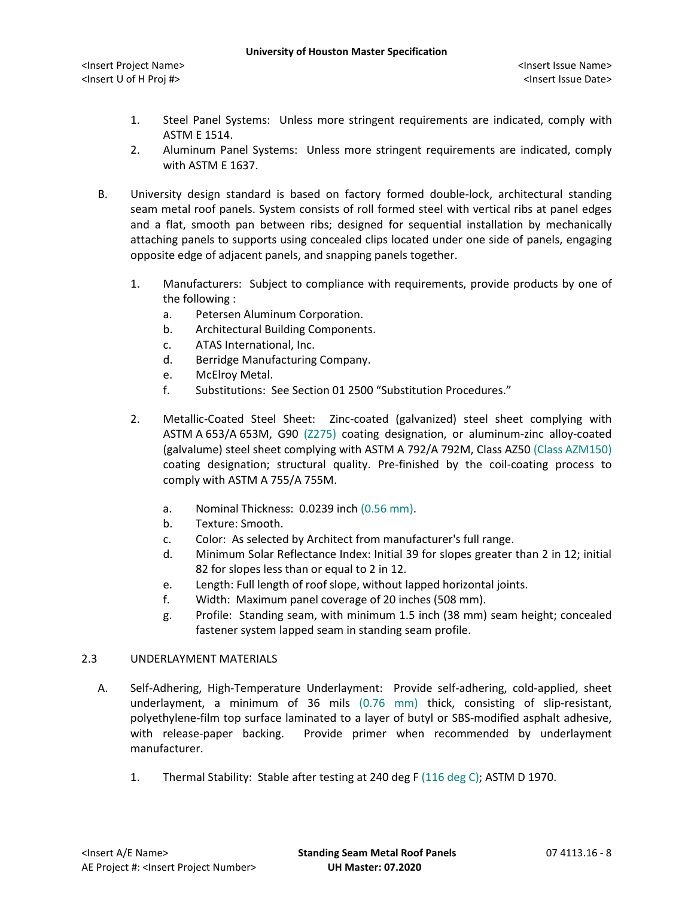- 1. Steel Panel Systems: Unless more stringent requirements are indicated, comply with ASTM E 1514.
- 2. Aluminum Panel Systems: Unless more stringent requirements are indicated, comply with ASTM E 1637.
- B. University design standard is based on factory formed double-lock, architectural standing seam metal roof panels. System consists of roll formed steel with vertical ribs at panel edges and a flat, smooth pan between ribs; designed for sequential installation by mechanically attaching panels to supports using concealed clips located under one side of panels, engaging opposite edge of adjacent panels, and snapping panels together.
	- 1. Manufacturers: Subject to compliance with requirements, provide products by one of the following :
		- a. [Petersen Aluminum Corporation.](http://www.specagent.com/LookUp/?uid=123456836625&mf=04&src=wd)
		- b. Architectural Building Components.
		- c. ATAS International, Inc.
		- d. Berridge Manufacturing Company.
		- e. McElroy Metal.
		- f. Substitutions: See Section 01 2500 "Substitution Procedures."
	- 2. Metallic-Coated Steel Sheet: Zinc-coated (galvanized) steel sheet complying with ASTM A 653/A 653M, G90 (Z275) coating designation, or aluminum-zinc alloy-coated (galvalume) steel sheet complying with ASTM A 792/A 792M, Class AZ50 (Class AZM150) coating designation; structural quality. Pre-finished by the coil-coating process to comply with ASTM A 755/A 755M.
		- a. Nominal Thickness: 0.0239 inch (0.56 mm).
		- b. Texture: Smooth.
		- c. Color: As selected by Architect from manufacturer's full range.
		- d. Minimum Solar Reflectance Index: Initial 39 for slopes greater than 2 in 12; initial 82 for slopes less than or equal to 2 in 12.
		- e. Length: Full length of roof slope, without lapped horizontal joints.
		- f. Width: Maximum panel coverage of 20 inches (508 mm).
		- g. Profile: Standing seam, with minimum 1.5 inch (38 mm) seam height; concealed fastener system lapped seam in standing seam profile.

### 2.3 UNDERLAYMENT MATERIALS

- A. Self-Adhering, High-Temperature Underlayment: Provide self-adhering, cold-applied, sheet underlayment, a minimum of 36 mils (0.76 mm) thick, consisting of slip-resistant, polyethylene-film top surface laminated to a layer of butyl or SBS-modified asphalt adhesive, with release-paper backing. Provide primer when recommended by underlayment manufacturer.
	- 1. Thermal Stability: Stable after testing at 240 deg F (116 deg C); ASTM D 1970.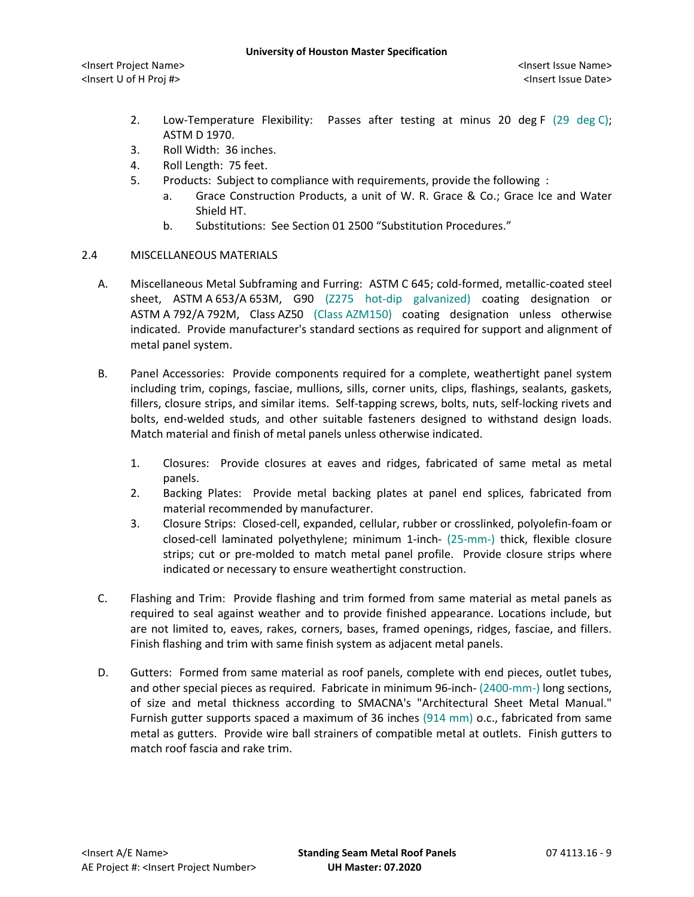- 2. Low-Temperature Flexibility: Passes after testing at minus 20 deg F (29 deg C); ASTM D 1970.
- 3. Roll Width: 36 inches.
- 4. Roll Length: 75 feet.
- 5. [Products:](http://www.specagent.com/LookUp/?ulid=6911&mf=04&src=wd) Subject to compliance with requirements, provide the following :
	- a. [Grace Construction Products, a unit of W. R. Grace & Co.;](http://www.specagent.com/LookUp/?uid=123456836673&mf=04&src=wd) Grace Ice and Water Shield HT.
	- b. Substitutions: See Section 01 2500 "Substitution Procedures."

## 2.4 MISCELLANEOUS MATERIALS

- A. Miscellaneous Metal Subframing and Furring: ASTM C 645; cold-formed, metallic-coated steel sheet, ASTM A 653/A 653M, G90 (Z275 hot-dip galvanized) coating designation or ASTM A 792/A 792M, Class AZ50 (Class AZM150) coating designation unless otherwise indicated. Provide manufacturer's standard sections as required for support and alignment of metal panel system.
- B. Panel Accessories: Provide components required for a complete, weathertight panel system including trim, copings, fasciae, mullions, sills, corner units, clips, flashings, sealants, gaskets, fillers, closure strips, and similar items. Self-tapping screws, bolts, nuts, self-locking rivets and bolts, end-welded studs, and other suitable fasteners designed to withstand design loads. Match material and finish of metal panels unless otherwise indicated.
	- 1. Closures: Provide closures at eaves and ridges, fabricated of same metal as metal panels.
	- 2. Backing Plates: Provide metal backing plates at panel end splices, fabricated from material recommended by manufacturer.
	- 3. Closure Strips: Closed-cell, expanded, cellular, rubber or crosslinked, polyolefin-foam or closed-cell laminated polyethylene; minimum 1-inch- (25-mm-) thick, flexible closure strips; cut or pre-molded to match metal panel profile. Provide closure strips where indicated or necessary to ensure weathertight construction.
- C. Flashing and Trim: Provide flashing and trim formed from same material as metal panels as required to seal against weather and to provide finished appearance. Locations include, but are not limited to, eaves, rakes, corners, bases, framed openings, ridges, fasciae, and fillers. Finish flashing and trim with same finish system as adjacent metal panels.
- D. Gutters: Formed from same material as roof panels, complete with end pieces, outlet tubes, and other special pieces as required. Fabricate in minimum 96-inch- (2400-mm-) long sections, of size and metal thickness according to SMACNA's "Architectural Sheet Metal Manual." Furnish gutter supports spaced a maximum of 36 inches (914 mm) o.c., fabricated from same metal as gutters. Provide wire ball strainers of compatible metal at outlets. Finish gutters to match roof fascia and rake trim.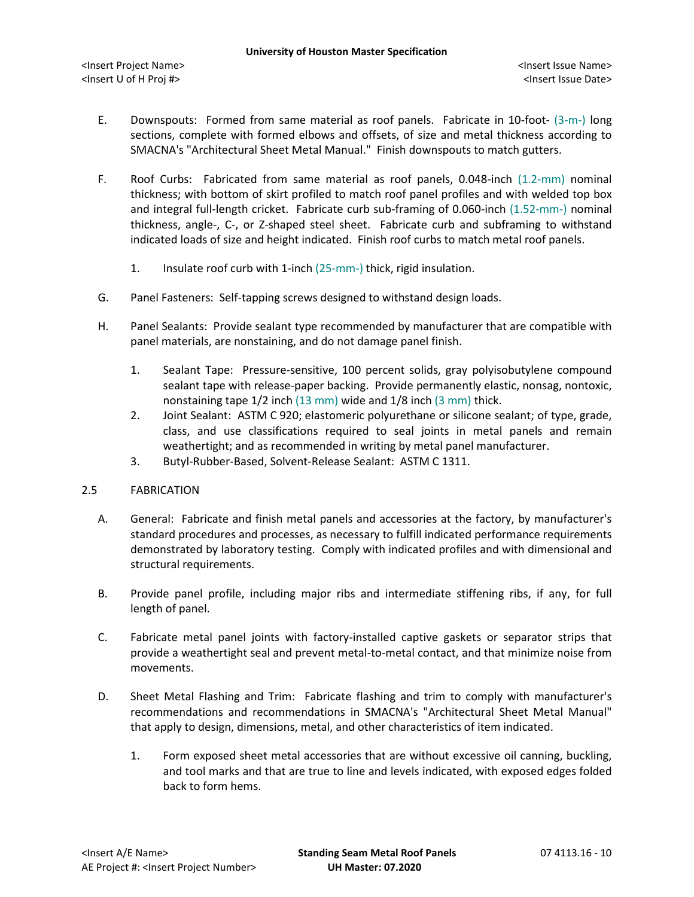- E. Downspouts: Formed from same material as roof panels. Fabricate in 10-foot- (3-m-) long sections, complete with formed elbows and offsets, of size and metal thickness according to SMACNA's "Architectural Sheet Metal Manual." Finish downspouts to match gutters.
- F. Roof Curbs: Fabricated from same material as roof panels, 0.048-inch (1.2-mm) nominal thickness; with bottom of skirt profiled to match roof panel profiles and with welded top box and integral full-length cricket. Fabricate curb sub-framing of 0.060-inch (1.52-mm-) nominal thickness, angle-, C-, or Z-shaped steel sheet. Fabricate curb and subframing to withstand indicated loads of size and height indicated. Finish roof curbs to match metal roof panels.
	- 1. Insulate roof curb with 1-inch (25-mm-) thick, rigid insulation.
- G. Panel Fasteners: Self-tapping screws designed to withstand design loads.
- H. Panel Sealants: Provide sealant type recommended by manufacturer that are compatible with panel materials, are nonstaining, and do not damage panel finish.
	- 1. Sealant Tape: Pressure-sensitive, 100 percent solids, gray polyisobutylene compound sealant tape with release-paper backing. Provide permanently elastic, nonsag, nontoxic, nonstaining tape 1/2 inch (13 mm) wide and 1/8 inch (3 mm) thick.
	- 2. Joint Sealant: ASTM C 920; elastomeric polyurethane or silicone sealant; of type, grade, class, and use classifications required to seal joints in metal panels and remain weathertight; and as recommended in writing by metal panel manufacturer.
	- 3. Butyl-Rubber-Based, Solvent-Release Sealant: ASTM C 1311.

### 2.5 FABRICATION

- A. General: Fabricate and finish metal panels and accessories at the factory, by manufacturer's standard procedures and processes, as necessary to fulfill indicated performance requirements demonstrated by laboratory testing. Comply with indicated profiles and with dimensional and structural requirements.
- B. Provide panel profile, including major ribs and intermediate stiffening ribs, if any, for full length of panel.
- C. Fabricate metal panel joints with factory-installed captive gaskets or separator strips that provide a weathertight seal and prevent metal-to-metal contact, and that minimize noise from movements.
- D. Sheet Metal Flashing and Trim: Fabricate flashing and trim to comply with manufacturer's recommendations and recommendations in SMACNA's "Architectural Sheet Metal Manual" that apply to design, dimensions, metal, and other characteristics of item indicated.
	- 1. Form exposed sheet metal accessories that are without excessive oil canning, buckling, and tool marks and that are true to line and levels indicated, with exposed edges folded back to form hems.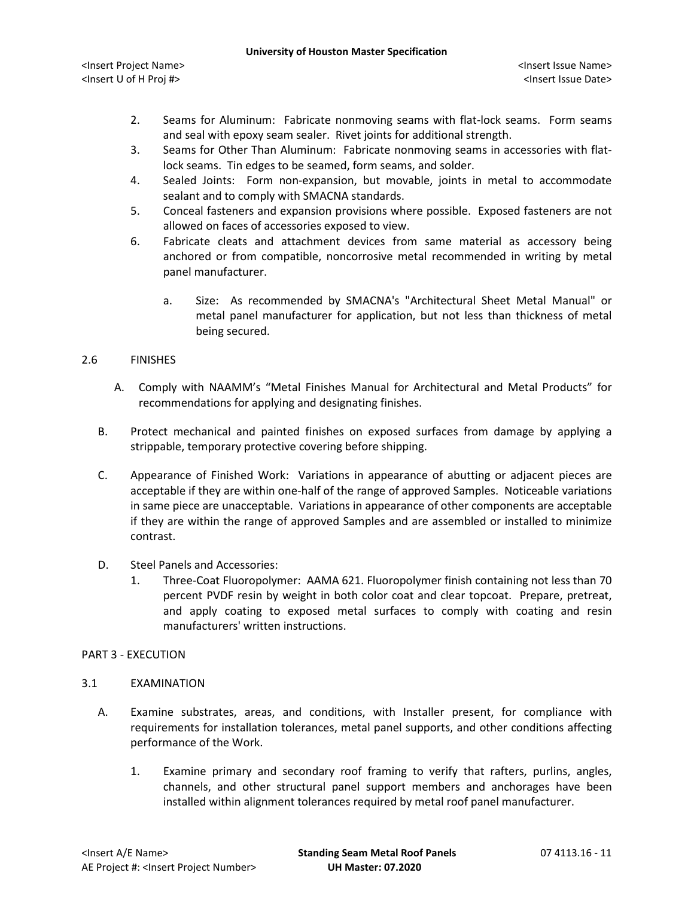- 2. Seams for Aluminum: Fabricate nonmoving seams with flat-lock seams. Form seams and seal with epoxy seam sealer. Rivet joints for additional strength.
- 3. Seams for Other Than Aluminum: Fabricate nonmoving seams in accessories with flatlock seams. Tin edges to be seamed, form seams, and solder.
- 4. Sealed Joints: Form non-expansion, but movable, joints in metal to accommodate sealant and to comply with SMACNA standards.
- 5. Conceal fasteners and expansion provisions where possible. Exposed fasteners are not allowed on faces of accessories exposed to view.
- 6. Fabricate cleats and attachment devices from same material as accessory being anchored or from compatible, noncorrosive metal recommended in writing by metal panel manufacturer.
	- a. Size: As recommended by SMACNA's "Architectural Sheet Metal Manual" or metal panel manufacturer for application, but not less than thickness of metal being secured.

## 2.6 FINISHES

- A. Comply with NAAMM's "Metal Finishes Manual for Architectural and Metal Products" for recommendations for applying and designating finishes.
- B. Protect mechanical and painted finishes on exposed surfaces from damage by applying a strippable, temporary protective covering before shipping.
- C. Appearance of Finished Work: Variations in appearance of abutting or adjacent pieces are acceptable if they are within one-half of the range of approved Samples. Noticeable variations in same piece are unacceptable. Variations in appearance of other components are acceptable if they are within the range of approved Samples and are assembled or installed to minimize contrast.
- D. Steel Panels and Accessories:
	- 1. Three-Coat Fluoropolymer: AAMA 621. Fluoropolymer finish containing not less than 70 percent PVDF resin by weight in both color coat and clear topcoat. Prepare, pretreat, and apply coating to exposed metal surfaces to comply with coating and resin manufacturers' written instructions.

# PART 3 - EXECUTION

### 3.1 EXAMINATION

- A. Examine substrates, areas, and conditions, with Installer present, for compliance with requirements for installation tolerances, metal panel supports, and other conditions affecting performance of the Work.
	- 1. Examine primary and secondary roof framing to verify that rafters, purlins, angles, channels, and other structural panel support members and anchorages have been installed within alignment tolerances required by metal roof panel manufacturer.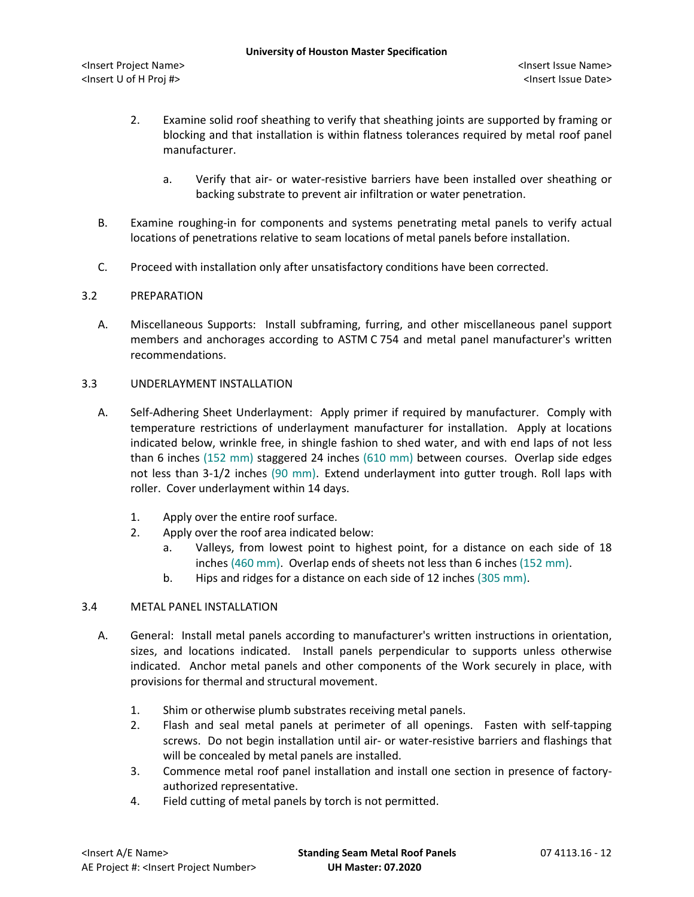- 2. Examine solid roof sheathing to verify that sheathing joints are supported by framing or blocking and that installation is within flatness tolerances required by metal roof panel manufacturer.
	- a. Verify that air- or water-resistive barriers have been installed over sheathing or backing substrate to prevent air infiltration or water penetration.
- B. Examine roughing-in for components and systems penetrating metal panels to verify actual locations of penetrations relative to seam locations of metal panels before installation.
- C. Proceed with installation only after unsatisfactory conditions have been corrected.

## 3.2 PREPARATION

A. Miscellaneous Supports: Install subframing, furring, and other miscellaneous panel support members and anchorages according to ASTM C 754 and metal panel manufacturer's written recommendations.

## 3.3 UNDERLAYMENT INSTALLATION

- A. Self-Adhering Sheet Underlayment: Apply primer if required by manufacturer. Comply with temperature restrictions of underlayment manufacturer for installation. Apply at locations indicated below, wrinkle free, in shingle fashion to shed water, and with end laps of not less than 6 inches (152 mm) staggered 24 inches (610 mm) between courses. Overlap side edges not less than 3-1/2 inches (90 mm). Extend underlayment into gutter trough. Roll laps with roller. Cover underlayment within 14 days.
	- 1. Apply over the entire roof surface.
	- 2. Apply over the roof area indicated below:
		- a. Valleys, from lowest point to highest point, for a distance on each side of 18 inches (460 mm). Overlap ends of sheets not less than 6 inches (152 mm).
		- b. Hips and ridges for a distance on each side of 12 inches (305 mm).

# 3.4 METAL PANEL INSTALLATION

- A. General: Install metal panels according to manufacturer's written instructions in orientation, sizes, and locations indicated. Install panels perpendicular to supports unless otherwise indicated. Anchor metal panels and other components of the Work securely in place, with provisions for thermal and structural movement.
	- 1. Shim or otherwise plumb substrates receiving metal panels.
	- 2. Flash and seal metal panels at perimeter of all openings. Fasten with self-tapping screws. Do not begin installation until air- or water-resistive barriers and flashings that will be concealed by metal panels are installed.
	- 3. Commence metal roof panel installation and install one section in presence of factoryauthorized representative.
	- 4. Field cutting of metal panels by torch is not permitted.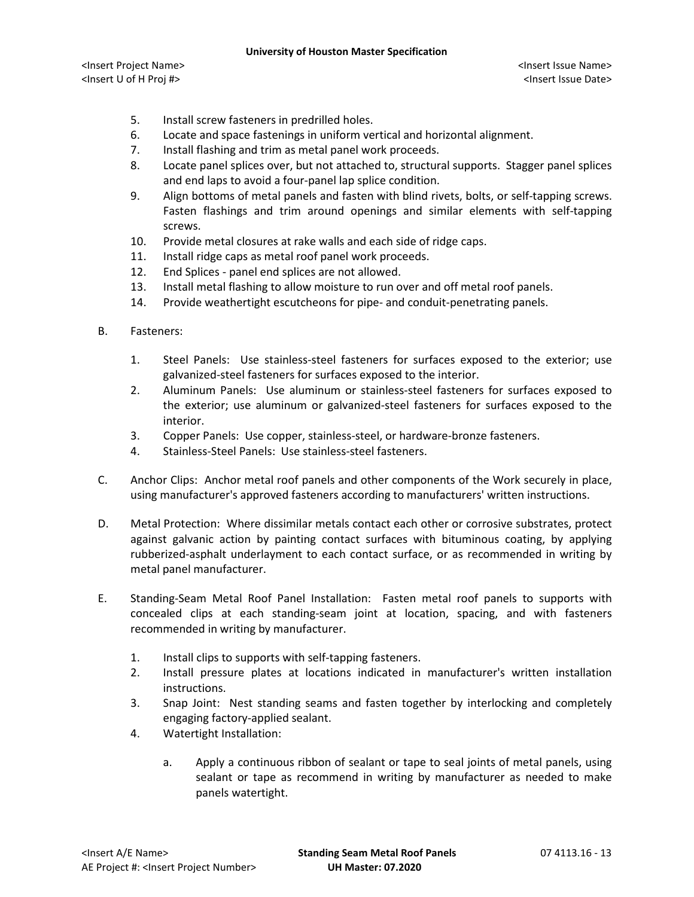- 5. Install screw fasteners in predrilled holes.
- 6. Locate and space fastenings in uniform vertical and horizontal alignment.
- 7. Install flashing and trim as metal panel work proceeds.
- 8. Locate panel splices over, but not attached to, structural supports. Stagger panel splices and end laps to avoid a four-panel lap splice condition.
- 9. Align bottoms of metal panels and fasten with blind rivets, bolts, or self-tapping screws. Fasten flashings and trim around openings and similar elements with self-tapping screws.
- 10. Provide metal closures at rake walls and each side of ridge caps.
- 11. Install ridge caps as metal roof panel work proceeds.
- 12. End Splices panel end splices are not allowed.
- 13. Install metal flashing to allow moisture to run over and off metal roof panels.
- 14. Provide weathertight escutcheons for pipe- and conduit-penetrating panels.
- B. Fasteners:
	- 1. Steel Panels: Use stainless-steel fasteners for surfaces exposed to the exterior; use galvanized-steel fasteners for surfaces exposed to the interior.
	- 2. Aluminum Panels: Use aluminum or stainless-steel fasteners for surfaces exposed to the exterior; use aluminum or galvanized-steel fasteners for surfaces exposed to the interior.
	- 3. Copper Panels: Use copper, stainless-steel, or hardware-bronze fasteners.
	- 4. Stainless-Steel Panels: Use stainless-steel fasteners.
- C. Anchor Clips: Anchor metal roof panels and other components of the Work securely in place, using manufacturer's approved fasteners according to manufacturers' written instructions.
- D. Metal Protection: Where dissimilar metals contact each other or corrosive substrates, protect against galvanic action by painting contact surfaces with bituminous coating, by applying rubberized-asphalt underlayment to each contact surface, or as recommended in writing by metal panel manufacturer.
- E. Standing-Seam Metal Roof Panel Installation: Fasten metal roof panels to supports with concealed clips at each standing-seam joint at location, spacing, and with fasteners recommended in writing by manufacturer.
	- 1. Install clips to supports with self-tapping fasteners.
	- 2. Install pressure plates at locations indicated in manufacturer's written installation instructions.
	- 3. Snap Joint: Nest standing seams and fasten together by interlocking and completely engaging factory-applied sealant.
	- 4. Watertight Installation:
		- a. Apply a continuous ribbon of sealant or tape to seal joints of metal panels, using sealant or tape as recommend in writing by manufacturer as needed to make panels watertight.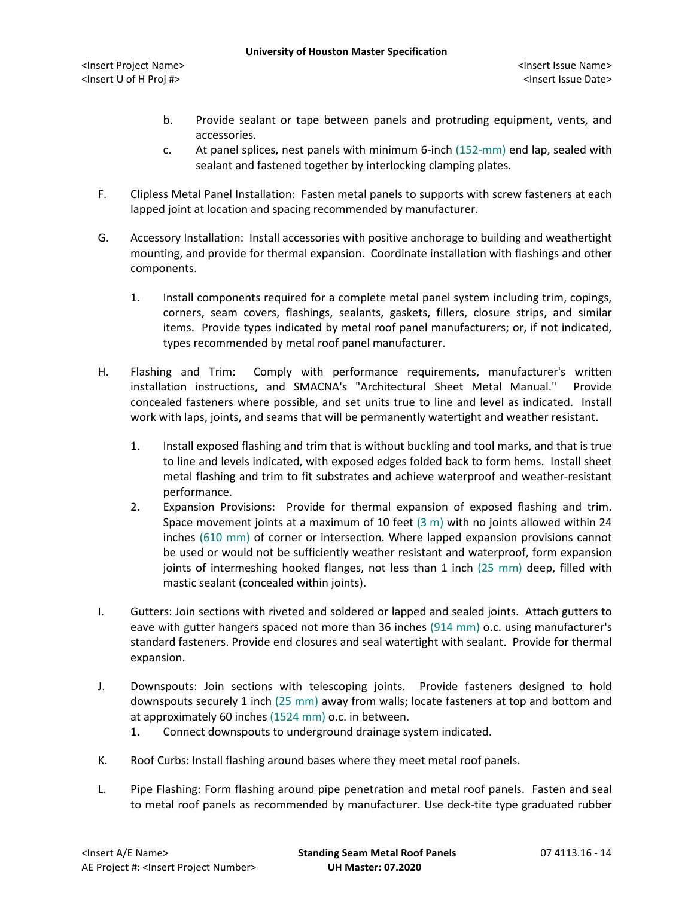- b. Provide sealant or tape between panels and protruding equipment, vents, and accessories.
- c. At panel splices, nest panels with minimum 6-inch (152-mm) end lap, sealed with sealant and fastened together by interlocking clamping plates.
- F. Clipless Metal Panel Installation: Fasten metal panels to supports with screw fasteners at each lapped joint at location and spacing recommended by manufacturer.
- G. Accessory Installation: Install accessories with positive anchorage to building and weathertight mounting, and provide for thermal expansion. Coordinate installation with flashings and other components.
	- 1. Install components required for a complete metal panel system including trim, copings, corners, seam covers, flashings, sealants, gaskets, fillers, closure strips, and similar items. Provide types indicated by metal roof panel manufacturers; or, if not indicated, types recommended by metal roof panel manufacturer.
- H. Flashing and Trim: Comply with performance requirements, manufacturer's written installation instructions, and SMACNA's "Architectural Sheet Metal Manual." Provide concealed fasteners where possible, and set units true to line and level as indicated. Install work with laps, joints, and seams that will be permanently watertight and weather resistant.
	- 1. Install exposed flashing and trim that is without buckling and tool marks, and that is true to line and levels indicated, with exposed edges folded back to form hems. Install sheet metal flashing and trim to fit substrates and achieve waterproof and weather-resistant performance.
	- 2. Expansion Provisions: Provide for thermal expansion of exposed flashing and trim. Space movement joints at a maximum of 10 feet  $(3 \text{ m})$  with no joints allowed within 24 inches (610 mm) of corner or intersection. Where lapped expansion provisions cannot be used or would not be sufficiently weather resistant and waterproof, form expansion joints of intermeshing hooked flanges, not less than 1 inch (25 mm) deep, filled with mastic sealant (concealed within joints).
- I. Gutters: Join sections with riveted and soldered or lapped and sealed joints. Attach gutters to eave with gutter hangers spaced not more than 36 inches (914 mm) o.c. using manufacturer's standard fasteners. Provide end closures and seal watertight with sealant. Provide for thermal expansion.
- J. Downspouts: Join sections with telescoping joints. Provide fasteners designed to hold downspouts securely 1 inch (25 mm) away from walls; locate fasteners at top and bottom and at approximately 60 inches (1524 mm) o.c. in between.
	- 1. Connect downspouts to underground drainage system indicated.
- K. Roof Curbs: Install flashing around bases where they meet metal roof panels.
- L. Pipe Flashing: Form flashing around pipe penetration and metal roof panels. Fasten and seal to metal roof panels as recommended by manufacturer. Use deck-tite type graduated rubber